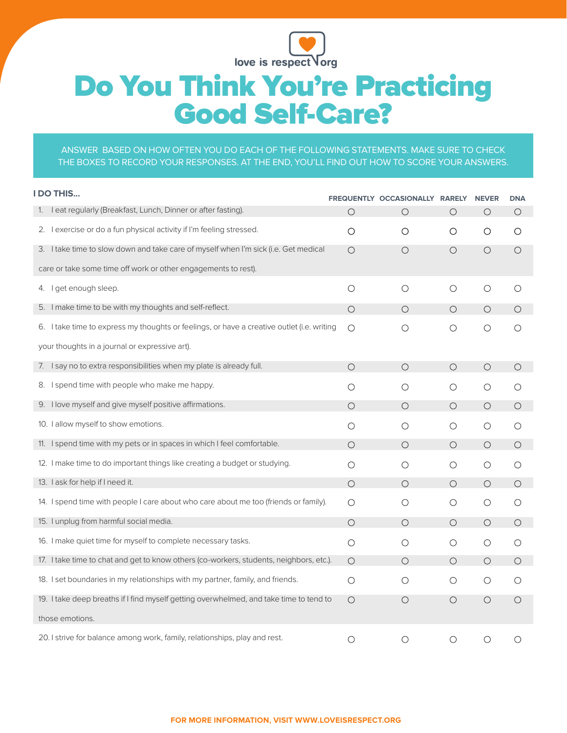

# Do You Think You're Practicing Good Self-Care?

#### ANSWER BASED ON HOW OFTEN YOU DO EACH OF THE FOLLOWING STATEMENTS. MAKE SURE TO CHECK THE BOXES TO RECORD YOUR RESPONSES. AT THE END, YOU'LL FIND OUT HOW TO SCORE YOUR ANSWERS.

|                                                                | <b>DO THIS</b>                                                                             |         | FREQUENTLY OCCASIONALLY RARELY |         | <b>NEVER</b> | <b>DNA</b> |
|----------------------------------------------------------------|--------------------------------------------------------------------------------------------|---------|--------------------------------|---------|--------------|------------|
| 1.                                                             | I eat regularly (Breakfast, Lunch, Dinner or after fasting).                               | О       | $\circ$                        | O       | О            | O          |
|                                                                | 2. Lexercise or do a fun physical activity if I'm feeling stressed.                        | O       | О                              | O       | O            | $\circ$    |
|                                                                | 3. I take time to slow down and take care of myself when I'm sick (i.e. Get medical        | $\circ$ | $\circ$                        | $\circ$ | $\bigcirc$   | $\circ$    |
| care or take some time off work or other engagements to rest). |                                                                                            |         |                                |         |              |            |
|                                                                | 4. I get enough sleep.                                                                     | $\circ$ | $\circ$                        | $\circ$ | $\circ$      | $\circ$    |
|                                                                | 5. I make time to be with my thoughts and self-reflect.                                    | $\circ$ | $\bigcirc$                     | $\circ$ | $\bigcirc$   | $\circ$    |
|                                                                | 6. I take time to express my thoughts or feelings, or have a creative outlet (i.e. writing | Ο       | $\circ$                        | $\circ$ | $\circ$      | $\circ$    |
| your thoughts in a journal or expressive art).                 |                                                                                            |         |                                |         |              |            |
|                                                                | 7. I say no to extra responsibilities when my plate is already full.                       | $\circ$ | $\circ$                        | $\circ$ | $\circ$      | $\circ$    |
|                                                                | 8. I spend time with people who make me happy.                                             | $\circ$ | O                              | O       | О            | O          |
|                                                                | 9. I love myself and give myself positive affirmations.                                    | $\circ$ | $\circ$                        | $\circ$ | $\circ$      | $\circ$    |
|                                                                | 10. I allow myself to show emotions.                                                       | О       | О                              | O       | О            | $\circ$    |
|                                                                | 11. I spend time with my pets or in spaces in which I feel comfortable.                    | $\circ$ | $\circ$                        | $\circ$ | $\circ$      | $\circ$    |
|                                                                | 12. I make time to do important things like creating a budget or studying.                 | $\circ$ | О                              | O       | О            | $\circ$    |
|                                                                | 13. I ask for help if I need it.                                                           | $\circ$ | $\circ$                        | $\circ$ | $\circ$      | $\circ$    |
|                                                                | 14. I spend time with people I care about who care about me too (friends or family).       | O       | O                              | O       | О            | $\circ$    |
|                                                                | 15. I unplug from harmful social media.                                                    | $\circ$ | $\circ$                        | $\circ$ | $\circ$      | $\circ$    |
|                                                                | 16. I make quiet time for myself to complete necessary tasks.                              | $\circ$ | О                              | $\circ$ | $\circ$      | $\circ$    |
|                                                                | 17. I take time to chat and get to know others (co-workers, students, neighbors, etc.).    | $\circ$ | $\circ$                        | $\circ$ | $\circ$      | $\circ$    |
|                                                                | 18. I set boundaries in my relationships with my partner, family, and friends.             | $\circ$ | $\circ$                        | O       | О            | O          |
|                                                                | 19. I take deep breaths if I find myself getting overwhelmed, and take time to tend to     | $\circ$ | $\circ$                        | O       | $\circ$      | $\circ$    |
| those emotions.                                                |                                                                                            |         |                                |         |              |            |
|                                                                | 20. I strive for balance among work, family, relationships, play and rest.                 | $\circ$ | $\circ$                        | $\circ$ | $\circ$      | $\circ$    |